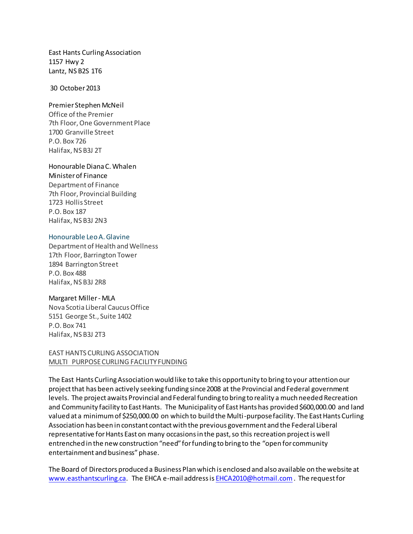East Hants Curling Association 1157 Hwy 2 Lantz, NS B2S 1T6

30 October 2013

#### Premier Stephen McNeil

Office of the Premier 7th Floor, One Government Place 1700 Granville Street P.O. Box 726 Halifax, NS B3J 2T

# Honourable Diana C. Whalen

Minister of Finance Department of Finance 7th Floor, Provincial Building 1723 Hollis Street P.O. Box 187 Halifax, NS B3J 2N3

### Honourable Leo A. Glavine

Department of Health and Wellness 17th Floor, Barrington Tower 1894 Barrington Street P.O. Box 488 Halifax, NS B3J 2R8

## Margaret Miller- MLA

Nova Scotia Liberal Caucus Office 5151 George St., Suite 1402 P.O. Box 741 Halifax, NS B3J 2T3

## EAST HANTS CURLING ASSOCIATION MULTI PURPOSE CURLING FACILITY FUNDING

The East Hants Curling Association would like to take this opportunity to bring to your attention our project that has been actively seeking funding since 2008 at the Provincial and Federal government levels. The project awaits Provincial and Federal funding to bring to reality a much needed Recreation and Community facility to East Hants. The Municipality of East Hants has provided \$600,000.00 and land valued at a minimum of \$250,000.00 on which to build the Multi-purpose facility. The East Hants Curling Association has been in constant contact with the previous government and the Federal Liberal representative for Hants East on many occasions in the past, so this recreation project is well entrenched in the new construction "need" for funding to bring to the "open for community entertainment and business" phase.

The Board of Directors produced a Business Plan which is enclosed and also available on the website at [www.easthantscurling.ca.](http://www.easthantscurling.ca/) The EHCA e-mail address i[s EHCA2010@hotmail.com](mailto:EHCA2010@hotmail.com). The request for